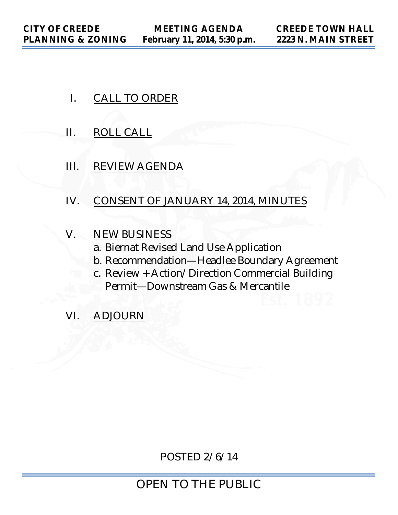- I. CALL TO ORDER
- II. ROLL CALL
- III. REVIEW AGENDA
- IV. CONSENT OF JANUARY 14, 2014, MINUTES
- V. NEW BUSINESS
	- a. Biernat Revised Land Use Application
	- b. Recommendation—Headlee Boundary Agreement
	- c. Review + Action/Direction Commercial Building Permit—Downstream Gas & Mercantile
- VI. ADJOURN

POSTED 2/6/14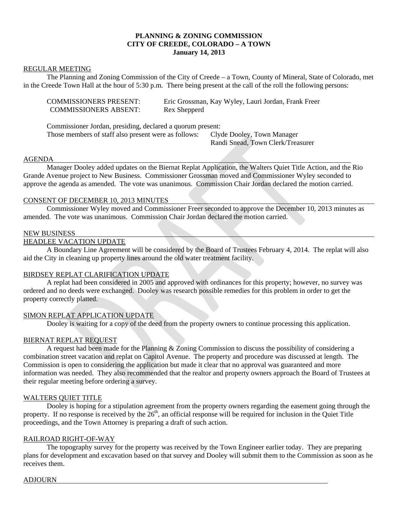#### **PLANNING & ZONING COMMISSION CITY OF CREEDE, COLORADO – A TOWN January 14, 2013**

#### REGULAR MEETING

 The Planning and Zoning Commission of the City of Creede – a Town, County of Mineral, State of Colorado, met in the Creede Town Hall at the hour of 5:30 p.m. There being present at the call of the roll the following persons:

| <b>COMMISSIONERS PRESENT:</b> | Eric Grossman, Kay Wyley, Lauri Jordan, Frank Freer |
|-------------------------------|-----------------------------------------------------|
| <b>COMMISSIONERS ABSENT:</b>  | Rex Shepperd                                        |

 Commissioner Jordan, presiding, declared a quorum present: Those members of staff also present were as follows: Clyde Dooley, Town Manager

Randi Snead, Town Clerk/Treasurer

#### AGENDA

 Manager Dooley added updates on the Biernat Replat Application, the Walters Quiet Title Action, and the Rio Grande Avenue project to New Business. Commissioner Grossman moved and Commissioner Wyley seconded to approve the agenda as amended. The vote was unanimous. Commission Chair Jordan declared the motion carried.

#### CONSENT OF DECEMBER 10, 2013 MINUTES

 Commissioner Wyley moved and Commissioner Freer seconded to approve the December 10, 2013 minutes as amended. The vote was unanimous. Commission Chair Jordan declared the motion carried.

#### NEW BUSINESS

#### HEADLEE VACATION UPDATE

 A Boundary Line Agreement will be considered by the Board of Trustees February 4, 2014. The replat will also aid the City in cleaning up property lines around the old water treatment facility.

#### BIRDSEY REPLAT CLARIFICATION UPDATE

 A replat had been considered in 2005 and approved with ordinances for this property; however, no survey was ordered and no deeds were exchanged. Dooley was research possible remedies for this problem in order to get the property correctly platted.

#### SIMON REPLAT APPLICATION UPDATE

Dooley is waiting for a copy of the deed from the property owners to continue processing this application.

#### BIERNAT REPLAT REQUEST

 A request had been made for the Planning & Zoning Commission to discuss the possibility of considering a combination street vacation and replat on Capitol Avenue. The property and procedure was discussed at length. The Commission is open to considering the application but made it clear that no approval was guaranteed and more information was needed. They also recommended that the realtor and property owners approach the Board of Trustees at their regular meeting before ordering a survey.

#### WALTERS QUIET TITLE

 Dooley is hoping for a stipulation agreement from the property owners regarding the easement going through the property. If no response is received by the  $26<sup>th</sup>$ , an official response will be required for inclusion in the Quiet Title proceedings, and the Town Attorney is preparing a draft of such action.

#### RAILROAD RIGHT-OF-WAY

 The topography survey for the property was received by the Town Engineer earlier today. They are preparing plans for development and excavation based on that survey and Dooley will submit them to the Commission as soon as he receives them.

#### ADJOURN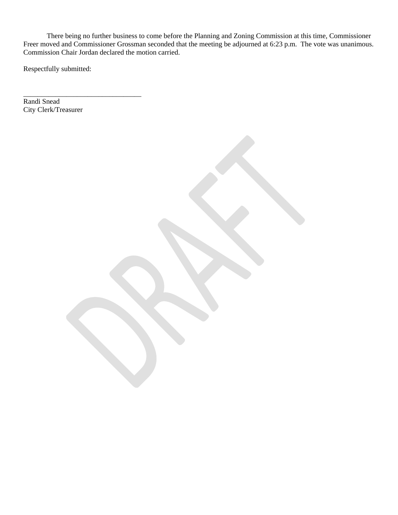There being no further business to come before the Planning and Zoning Commission at this time, Commissioner Freer moved and Commissioner Grossman seconded that the meeting be adjourned at 6:23 p.m. The vote was unanimous. Commission Chair Jordan declared the motion carried.

Respectfully submitted:

\_\_\_\_\_\_\_\_\_\_\_\_\_\_\_\_\_\_\_\_\_\_\_\_\_\_\_\_\_\_\_\_\_ Randi Snead City Clerk/Treasurer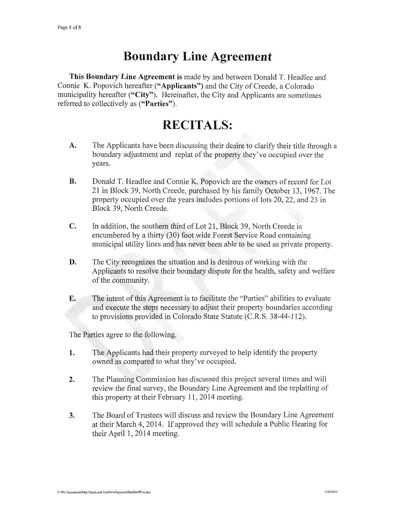## **Boundary Line Agreement**

This Boundary Line Agreement is made by and between Donald T. Headlee and Connie K. Popovich hereafter ("Applicants") and the City of Creede, a Colorado municipality hereafter ("City"). Hereinafter, the City and Applicants are sometimes referred to collectively as ("Parties").

## **RECITALS:**

- A. The Applicants have been discussing their desire to clarify their title through a boundary adjustment and replat of the property they've occupied over the years.
- **B.** Donald T. Headlee and Connie K. Popovich are the owners of record for Lot 21 in Block 39, North Creede, purchased by his family October 13, 1967. The property occupied over the years includes portions of lots 20, 22, and 23 in Block 39, North Creede.
- $C_{\bullet}$ In addition, the southern third of Lot 21, Block 39, North Creede is encumbered by a thirty (30) foot wide Forest Service Road containing municipal utility lines and has never been able to be used as private property.
- D. The City recognizes the situation and is desirous of working with the Applicants to resolve their boundary dispute for the health, safety and welfare of the community.
- E. The intent of this Agreement is to facilitate the "Parties" abilities to evaluate and execute the steps necessary to adjust their property boundaries according to provisions provided in Colorado State Statute (C.R.S. 38-44-112).

The Parties agree to the following.

- The Applicants had their property surveyed to help identify the property 1. owned as compared to what they've occupied.
- $2.$ The Planning Commission has discussed this project several times and will review the final survey, the Boundary Line Agreement and the replatting of this property at their February 11, 2014 meeting.
- The Board of Trustees will discuss and review the Boundary Line Agreement  $3.$ at their March 4, 2014. If approved they will schedule a Public Hearing for their April 1, 2014 meeting.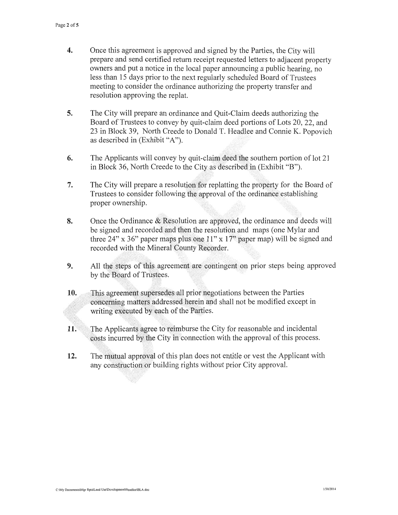- $\overline{4}$ . Once this agreement is approved and signed by the Parties, the City will prepare and send certified return receipt requested letters to adjacent property owners and put a notice in the local paper announcing a public hearing, no less than 15 days prior to the next regularly scheduled Board of Trustees meeting to consider the ordinance authorizing the property transfer and resolution approving the replat.
- 5. The City will prepare an ordinance and Quit-Claim deeds authorizing the Board of Trustees to convey by quit-claim deed portions of Lots 20, 22, and 23 in Block 39, North Creede to Donald T. Headlee and Connie K. Popovich as described in (Exhibit "A").
- 6. The Applicants will convey by quit-claim deed the southern portion of lot 21 in Block 36, North Creede to the City as described in (Exhibit "B").
- 7. The City will prepare a resolution for replatting the property for the Board of Trustees to consider following the approval of the ordinance establishing proper ownership.
- 8. Once the Ordinance & Resolution are approved, the ordinance and deeds will be signed and recorded and then the resolution and maps (one Mylar and three 24" x 36" paper maps plus one 11" x 17" paper map) will be signed and recorded with the Mineral County Recorder.
- 9. All the steps of this agreement are contingent on prior steps being approved by the Board of Trustees.
- 10. This agreement supersedes all prior negotiations between the Parties concerning matters addressed herein and shall not be modified except in writing executed by each of the Parties.
- $11.$ The Applicants agree to reimburse the City for reasonable and incidental costs incurred by the City in connection with the approval of this process.
- $12.$ The mutual approval of this plan does not entitle or vest the Applicant with any construction or building rights without prior City approval.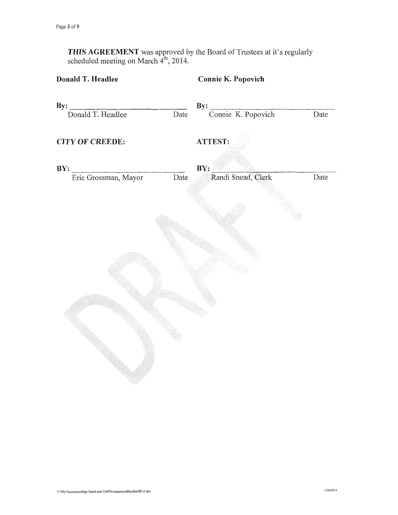**THIS AGREEMENT** was approved by the Board of Trustees at it's regularly scheduled meeting on March  $4^{\text{th}}$ , 2014.

# Donald T. Headlee **Connie K. Popovich**  $\mathbf{By:}$  $By:$ Connie K. Popovich Donald T. Headlee Date Date ATTEST: **CITY OF CREEDE:** BY:  $BY:$ Eric Grossman, Mayor Randi Snead, Clerk Date Date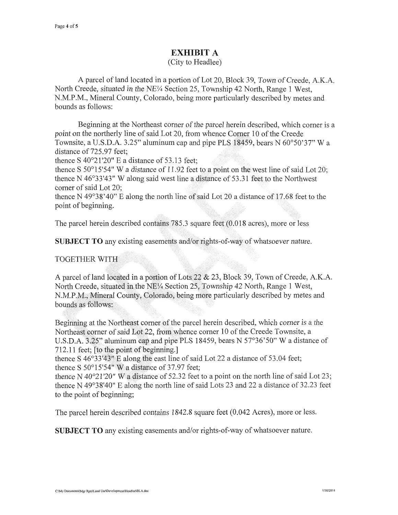### **EXHIBIT A**

(City to Headlee)

A parcel of land located in a portion of Lot 20, Block 39, Town of Creede, A.K.A. North Creede, situated in the NE¼ Section 25, Township 42 North, Range 1 West, N.M.P.M., Mineral County, Colorado, being more particularly described by metes and bounds as follows:

Beginning at the Northeast corner of the parcel herein described, which corner is a point on the northerly line of said Lot 20, from whence Corner 10 of the Creede Townsite, a U.S.D.A. 3.25" aluminum cap and pipe PLS 18459, bears N 60°50'37" W a distance of 725.97 feet:

thence S  $40^{\circ}21'20''$  E a distance of 53.13 feet;

thence S  $50^{\circ}15'54''$  W a distance of 11.92 feet to a point on the west line of said Lot 20; thence N 46°33'43" W along said west line a distance of 53.31 feet to the Northwest corner of said Lot 20:

thence N 49°38'40" E along the north line of said Lot 20 a distance of 17.68 feet to the point of beginning.

The parcel herein described contains  $785.3$  square feet  $(0.018$  acres), more or less

**SUBJECT TO** any existing easements and/or rights-of-way of whatsoever nature.

#### **TOGETHER WITH**

A parcel of land located in a portion of Lots 22 & 23, Block 39, Town of Creede, A.K.A. North Creede, situated in the NE1/4 Section 25, Township 42 North, Range 1 West, N.M.P.M., Mineral County, Colorado, being more particularly described by metes and bounds as follows:

Beginning at the Northeast corner of the parcel herein described, which corner is a the Northeast corner of said Lot 22, from whence corner 10 of the Creede Townsite, a U.S.D.A. 3.25" aluminum cap and pipe PLS 18459, bears N 57°36'50" W a distance of 712.11 feet; [to the point of beginning.]

thence S 46°33'43" E along the east line of said Lot 22 a distance of 53.04 feet; thence S 50°15'54" W a distance of 37.97 feet;

thence N 40°21'20" W a distance of 52.32 feet to a point on the north line of said Lot 23; thence N 49°38'40" E along the north line of said Lots 23 and 22 a distance of 32.23 feet to the point of beginning:

The parcel herein described contains 1842.8 square feet (0.042 Acres), more or less.

**SUBJECT TO** any existing easements and/or rights-of-way of whatsoever nature.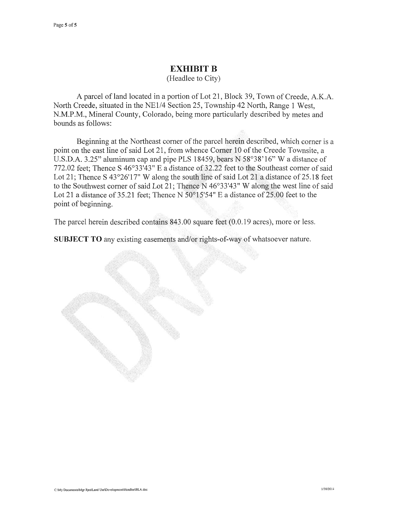#### **EXHIBIT B**

(Headlee to City)

A parcel of land located in a portion of Lot 21, Block 39, Town of Creede, A.K.A. North Creede, situated in the NE1/4 Section 25, Township 42 North, Range 1 West, N.M.P.M., Mineral County, Colorado, being more particularly described by metes and bounds as follows:

Beginning at the Northeast corner of the parcel herein described, which corner is a point on the east line of said Lot 21, from whence Corner 10 of the Creede Townsite, a U.S.D.A. 3.25" aluminum cap and pipe PLS 18459, bears N 58°38'16" W a distance of 772.02 feet; Thence S 46°33'43" E a distance of 32.22 feet to the Southeast corner of said Lot 21; Thence S 43°26'17" W along the south line of said Lot 21 a distance of 25.18 feet to the Southwest corner of said Lot 21; Thence N 46°33'43" W along the west line of said Lot 21 a distance of 35.21 feet; Thence N  $50^{\circ}15'54''$  E a distance of 25.00 feet to the point of beginning.

The parcel herein described contains 843.00 square feet (0.0.19 acres), more or less.

SUBJECT TO any existing easements and/or rights-of-way of whatsoever nature.